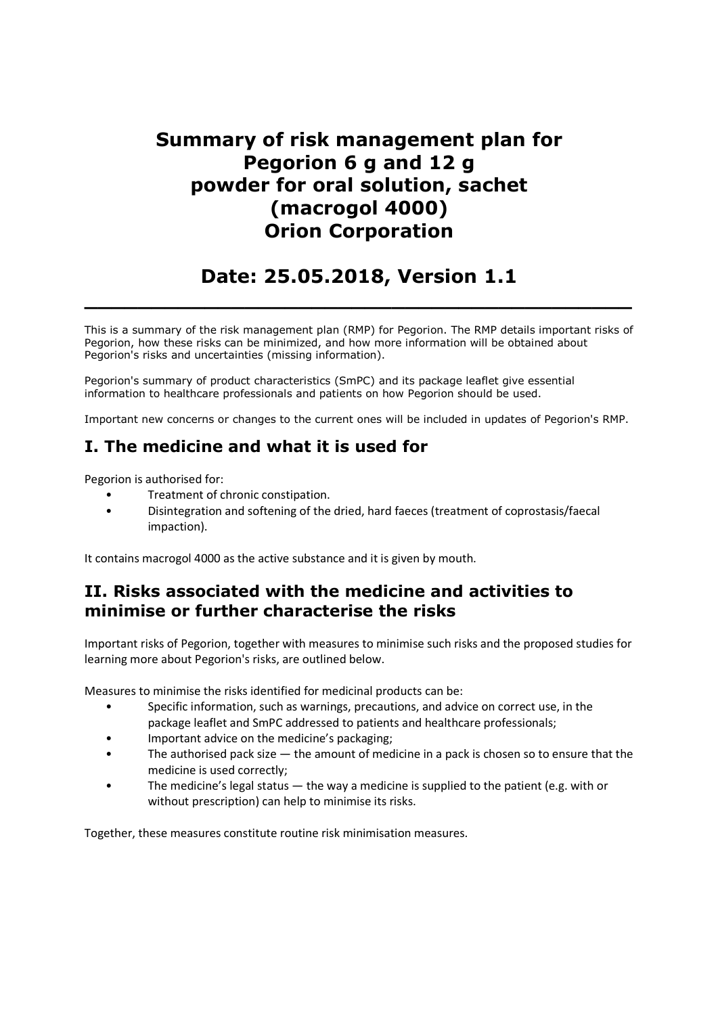## Summary of risk management plan for Pegorion 6 g and 12 g powder for oral solution, sachet (macrogol 4000) Orion Corporation

# Date: 25.05.2018, Version 1.1

 $\_$  , and the set of the set of the set of the set of the set of the set of the set of the set of the set of the set of the set of the set of the set of the set of the set of the set of the set of the set of the set of th

This is a summary of the risk management plan (RMP) for Pegorion. The RMP details important risks of Pegorion, how these risks can be minimized, and how more information will be obtained about Pegorion's risks and uncertainties (missing information).

Pegorion's summary of product characteristics (SmPC) and its package leaflet give essential information to healthcare professionals and patients on how Pegorion should be used.

Important new concerns or changes to the current ones will be included in updates of Pegorion's RMP.

## I. The medicine and what it is used for

Pegorion is authorised for:

- Treatment of chronic constipation.
- Disintegration and softening of the dried, hard faeces (treatment of coprostasis/faecal impaction).

It contains macrogol 4000 as the active substance and it is given by mouth.

## II. Risks associated with the medicine and activities to minimise or further characterise the risks

Important risks of Pegorion, together with measures to minimise such risks and the proposed studies for learning more about Pegorion's risks, are outlined below.

Measures to minimise the risks identified for medicinal products can be:

- Specific information, such as warnings, precautions, and advice on correct use, in the package leaflet and SmPC addressed to patients and healthcare professionals;
- Important advice on the medicine's packaging;
- The authorised pack size the amount of medicine in a pack is chosen so to ensure that the medicine is used correctly;
- The medicine's legal status  $-$  the way a medicine is supplied to the patient (e.g. with or without prescription) can help to minimise its risks.

Together, these measures constitute routine risk minimisation measures.